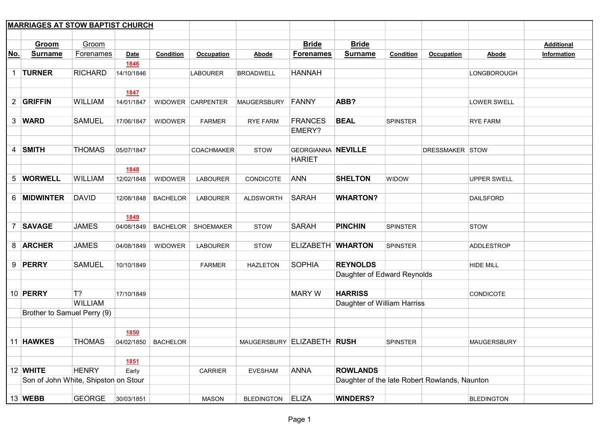|                | <b>MARRIAGES AT STOW BAPTIST CHURCH</b> |                |             |                  |                   |                            |                           |                                               |                 |                   |                    |                   |
|----------------|-----------------------------------------|----------------|-------------|------------------|-------------------|----------------------------|---------------------------|-----------------------------------------------|-----------------|-------------------|--------------------|-------------------|
|                |                                         |                |             |                  |                   |                            |                           |                                               |                 |                   |                    |                   |
|                | Groom                                   | Groom          |             |                  |                   |                            | <b>Bride</b>              | <b>Bride</b>                                  |                 |                   |                    | <b>Additional</b> |
| No.            | <b>Surname</b>                          | Forenames      | <b>Date</b> | <b>Condition</b> | <b>Occupation</b> | Abode                      | <b>Forenames</b>          | <b>Surname</b>                                | Condition       | <b>Occupation</b> | Abode              | Information       |
|                |                                         |                | 1846        |                  |                   |                            |                           |                                               |                 |                   |                    |                   |
| 1              | <b>TURNER</b>                           | <b>RICHARD</b> | 14/10/1846  |                  | <b>LABOURER</b>   | <b>BROADWELL</b>           | <b>HANNAH</b>             |                                               |                 |                   | LONGBOROUGH        |                   |
|                |                                         |                |             |                  |                   |                            |                           |                                               |                 |                   |                    |                   |
|                |                                         |                | 1847        |                  |                   |                            |                           |                                               |                 |                   |                    |                   |
|                | 2 GRIFFIN                               | <b>WILLIAM</b> | 14/01/1847  |                  | WIDOWER CARPENTER | <b>MAUGERSBURY</b>         | FANNY                     | ABB?                                          |                 |                   | LOWER SWELL        |                   |
|                |                                         |                |             |                  |                   |                            |                           |                                               |                 |                   |                    |                   |
|                | 3 WARD                                  | <b>SAMUEL</b>  | 17/06/1847  | <b>WIDOWER</b>   | <b>FARMER</b>     | RYE FARM                   | <b>FRANCES</b>            | <b>BEAL</b>                                   | SPINSTER        |                   | <b>RYE FARM</b>    |                   |
|                |                                         |                |             |                  |                   |                            | EMERY?                    |                                               |                 |                   |                    |                   |
|                |                                         |                |             |                  |                   |                            |                           |                                               |                 |                   |                    |                   |
|                | 4 SMITH                                 | <b>THOMAS</b>  | 05/07/1847  |                  | <b>COACHMAKER</b> | <b>STOW</b>                | <b>GEORGIANNA NEVILLE</b> |                                               |                 | DRESSMAKER STOW   |                    |                   |
|                |                                         |                |             |                  |                   |                            | <b>HARIET</b>             |                                               |                 |                   |                    |                   |
|                |                                         |                | 1848        |                  |                   |                            |                           |                                               |                 |                   |                    |                   |
|                | 5 WORWELL                               | <b>WILLIAM</b> | 12/02/1848  | <b>WIDOWER</b>   | <b>LABOURER</b>   | CONDICOTE                  | <b>ANN</b>                | <b>SHELTON</b>                                | WIDOW           |                   | <b>UPPER SWELL</b> |                   |
|                |                                         |                |             |                  |                   |                            |                           |                                               |                 |                   |                    |                   |
|                | 6 MIDWINTER                             | <b>DAVID</b>   | 12/08/1848  | <b>BACHELOR</b>  | <b>LABOURER</b>   | <b>ALDSWORTH</b>           | <b>SARAH</b>              | <b>WHARTON?</b>                               |                 |                   | <b>DAILSFORD</b>   |                   |
|                |                                         |                |             |                  |                   |                            |                           |                                               |                 |                   |                    |                   |
|                |                                         |                | 1849        |                  |                   |                            |                           |                                               |                 |                   |                    |                   |
| $\overline{7}$ | <b>SAVAGE</b>                           | <b>JAMES</b>   | 04/08/1849  | <b>BACHELOR</b>  | <b>SHOEMAKER</b>  | <b>STOW</b>                | <b>SARAH</b>              | <b>PINCHIN</b>                                | <b>SPINSTER</b> |                   | <b>STOW</b>        |                   |
|                |                                         |                |             |                  |                   |                            |                           |                                               |                 |                   |                    |                   |
|                | 8 ARCHER                                | <b>JAMES</b>   | 04/08/1849  | <b>WIDOWER</b>   | <b>LABOURER</b>   | <b>STOW</b>                | ELIZABETH WHARTON         |                                               | <b>SPINSTER</b> |                   | ADDLESTROP         |                   |
|                |                                         |                |             |                  |                   |                            |                           |                                               |                 |                   |                    |                   |
|                | 9 PERRY                                 | <b>SAMUEL</b>  | 10/10/1849  |                  | <b>FARMER</b>     | <b>HAZLETON</b>            | <b>SOPHIA</b>             | <b>REYNOLDS</b>                               |                 |                   | <b>HIDE MILL</b>   |                   |
|                |                                         |                |             |                  |                   |                            |                           | Daughter of Edward Reynolds                   |                 |                   |                    |                   |
|                |                                         |                |             |                  |                   |                            |                           |                                               |                 |                   |                    |                   |
|                | 10 PERRY                                | $T$ ?          | 17/10/1849  |                  |                   |                            | <b>MARY W</b>             | <b>HARRISS</b>                                |                 |                   | <b>CONDICOTE</b>   |                   |
|                |                                         | <b>WILLIAM</b> |             |                  |                   |                            |                           | Daughter of William Harriss                   |                 |                   |                    |                   |
|                | Brother to Samuel Perry (9)             |                |             |                  |                   |                            |                           |                                               |                 |                   |                    |                   |
|                |                                         |                |             |                  |                   |                            |                           |                                               |                 |                   |                    |                   |
|                |                                         |                | 1850        |                  |                   |                            |                           |                                               |                 |                   |                    |                   |
|                | 11 HAWKES                               | <b>THOMAS</b>  | 04/02/1850  | <b>BACHELOR</b>  |                   | MAUGERSBURY ELIZABETH RUSH |                           |                                               | <b>SPINSTER</b> |                   | <b>MAUGERSBURY</b> |                   |
|                |                                         |                |             |                  |                   |                            |                           |                                               |                 |                   |                    |                   |
|                |                                         |                | 1851        |                  |                   |                            |                           |                                               |                 |                   |                    |                   |
|                | 12 WHITE                                | <b>HENRY</b>   | Early       |                  | <b>CARRIER</b>    | <b>EVESHAM</b>             | <b>ANNA</b>               | <b>ROWLANDS</b>                               |                 |                   |                    |                   |
|                | Son of John White, Shipston on Stour    |                |             |                  |                   |                            |                           | Daughter of the late Robert Rowlands, Naunton |                 |                   |                    |                   |
|                |                                         |                |             |                  |                   |                            |                           |                                               |                 |                   |                    |                   |
|                | 13 WEBB                                 | <b>GEORGE</b>  | 30/03/1851  |                  | <b>MASON</b>      | <b>BLEDINGTON</b>          | <b>ELIZA</b>              | <b>WINDERS?</b>                               |                 |                   | <b>BLEDINGTON</b>  |                   |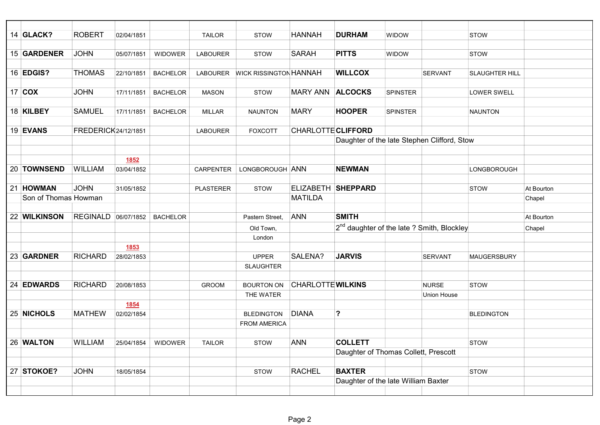| 14 <b>GLACK?</b>     | <b>ROBERT</b>        | 02/04/1851         |                 | <b>TAILOR</b>    | <b>STOW</b>                   | <b>HANNAH</b>             | <b>DURHAM</b>                               | <b>WIDOW</b>                                           | <b>STOW</b>           |            |
|----------------------|----------------------|--------------------|-----------------|------------------|-------------------------------|---------------------------|---------------------------------------------|--------------------------------------------------------|-----------------------|------------|
|                      |                      |                    |                 |                  |                               |                           |                                             |                                                        |                       |            |
| 15 GARDENER          | <b>JOHN</b>          | 05/07/1851         | <b>WIDOWER</b>  | <b>LABOURER</b>  | <b>STOW</b>                   | <b>SARAH</b>              | <b>PITTS</b>                                | WIDOW                                                  | <b>STOW</b>           |            |
|                      |                      |                    |                 |                  |                               |                           |                                             |                                                        |                       |            |
| 16 <b>EDGIS?</b>     | <b>THOMAS</b>        | 22/10/1851         | <b>BACHELOR</b> | <b>LABOURER</b>  | <b>WICK RISSINGTON HANNAH</b> |                           | <b>WILLCOX</b>                              | <b>SERVANT</b>                                         | <b>SLAUGHTER HILL</b> |            |
|                      |                      |                    |                 |                  |                               |                           |                                             |                                                        |                       |            |
| 17 $COX$             | <b>JOHN</b>          | 17/11/1851         | <b>BACHELOR</b> | <b>MASON</b>     | <b>STOW</b>                   | <b>MARY ANN</b>           | <b>ALCOCKS</b>                              | SPINSTER                                               | <b>LOWER SWELL</b>    |            |
|                      |                      |                    |                 |                  |                               |                           |                                             |                                                        |                       |            |
| 18 KILBEY            | <b>SAMUEL</b>        | 17/11/1851         | <b>BACHELOR</b> | <b>MILLAR</b>    | <b>NAUNTON</b>                | <b>MARY</b>               | <b>HOOPER</b>                               | <b>SPINSTER</b>                                        | <b>NAUNTON</b>        |            |
|                      |                      |                    |                 |                  |                               |                           |                                             |                                                        |                       |            |
| 19 EVANS             | FREDERICK 24/12/1851 |                    |                 | <b>LABOURER</b>  | <b>FOXCOTT</b>                | <b>CHARLOTTE CLIFFORD</b> |                                             |                                                        |                       |            |
|                      |                      |                    |                 |                  |                               |                           | Daughter of the late Stephen Clifford, Stow |                                                        |                       |            |
|                      |                      |                    |                 |                  |                               |                           |                                             |                                                        |                       |            |
|                      |                      | 1852               |                 |                  |                               |                           |                                             |                                                        |                       |            |
| 20 TOWNSEND          | <b>WILLIAM</b>       | 03/04/1852         |                 | CARPENTER        | LONGBOROUGH ANN               |                           | <b>NEWMAN</b>                               |                                                        | LONGBOROUGH           |            |
|                      |                      |                    |                 |                  |                               |                           |                                             |                                                        |                       |            |
| 21 HOWMAN            | <b>JOHN</b>          | 31/05/1852         |                 | <b>PLASTERER</b> | <b>STOW</b>                   |                           | ELIZABETH SHEPPARD                          |                                                        | <b>STOW</b>           | At Bourton |
| Son of Thomas Howman |                      |                    |                 |                  |                               | <b>MATILDA</b>            |                                             |                                                        |                       | Chapel     |
|                      |                      |                    |                 |                  |                               |                           |                                             |                                                        |                       |            |
| 22 WILKINSON         | REGINALD 06/07/1852  |                    | <b>BACHELOR</b> |                  | Pastern Street,               | <b>ANN</b>                | <b>SMITH</b>                                |                                                        |                       | At Bourton |
|                      |                      |                    |                 |                  | Old Town,                     |                           |                                             | 2 <sup>nd</sup> daughter of the late ? Smith, Blockley |                       | Chapel     |
|                      |                      |                    |                 |                  | London                        |                           |                                             |                                                        |                       |            |
|                      |                      | <b>1853</b>        |                 |                  |                               |                           |                                             |                                                        |                       |            |
| 23 GARDNER           | <b>RICHARD</b>       | 28/02/1853         |                 |                  | <b>UPPER</b>                  | SALENA?                   | <b>JARVIS</b>                               | <b>SERVANT</b>                                         | <b>MAUGERSBURY</b>    |            |
|                      |                      |                    |                 |                  | <b>SLAUGHTER</b>              |                           |                                             |                                                        |                       |            |
|                      |                      |                    |                 |                  |                               |                           |                                             |                                                        |                       |            |
| 24 EDWARDS           | <b>RICHARD</b>       | 20/08/1853         |                 | <b>GROOM</b>     | <b>BOURTON ON</b>             | <b>CHARLOTTE WILKINS</b>  |                                             | <b>NURSE</b>                                           | <b>STOW</b>           |            |
|                      |                      |                    |                 |                  | THE WATER                     |                           |                                             | <b>Union House</b>                                     |                       |            |
| 25 NICHOLS           | <b>MATHEW</b>        | 1854<br>02/02/1854 |                 |                  | <b>BLEDINGTON</b>             | <b>DIANA</b>              | ?                                           |                                                        | <b>BLEDINGTON</b>     |            |
|                      |                      |                    |                 |                  | <b>FROM AMERICA</b>           |                           |                                             |                                                        |                       |            |
|                      |                      |                    |                 |                  |                               |                           |                                             |                                                        |                       |            |
| 26 WALTON            | <b>WILLIAM</b>       | 25/04/1854         | <b>WIDOWER</b>  | <b>TAILOR</b>    | <b>STOW</b>                   | <b>ANN</b>                | <b>COLLETT</b>                              |                                                        | <b>STOW</b>           |            |
|                      |                      |                    |                 |                  |                               |                           |                                             | Daughter of Thomas Collett, Prescott                   |                       |            |
|                      |                      |                    |                 |                  |                               |                           |                                             |                                                        |                       |            |
| 27 STOKOE?           | <b>JOHN</b>          | 18/05/1854         |                 |                  | <b>STOW</b>                   | <b>RACHEL</b>             | <b>BAXTER</b>                               |                                                        | <b>STOW</b>           |            |
|                      |                      |                    |                 |                  |                               |                           |                                             | Daughter of the late William Baxter                    |                       |            |
|                      |                      |                    |                 |                  |                               |                           |                                             |                                                        |                       |            |
|                      |                      |                    |                 |                  |                               |                           |                                             |                                                        |                       |            |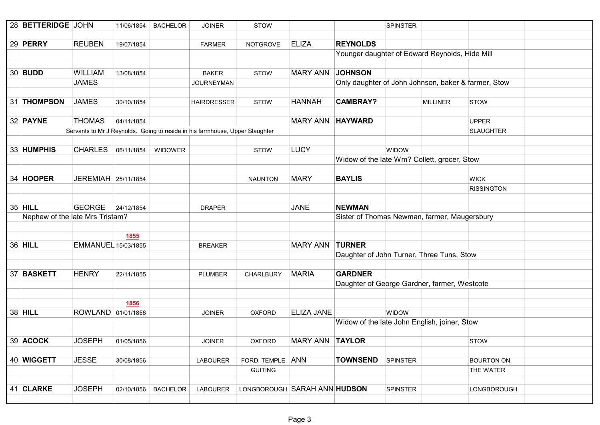| 28 BETTERIDGE JOHN              |                            | 11/06/1854  | <b>BACHELOR</b> | <b>JOINER</b>                                                                | <b>STOW</b>                  |                        |                                              | <b>SPINSTER</b>                                     |                   |  |
|---------------------------------|----------------------------|-------------|-----------------|------------------------------------------------------------------------------|------------------------------|------------------------|----------------------------------------------|-----------------------------------------------------|-------------------|--|
|                                 |                            |             |                 |                                                                              |                              |                        |                                              |                                                     |                   |  |
| 29 <b>PERRY</b>                 | <b>REUBEN</b>              | 19/07/1854  |                 | <b>FARMER</b>                                                                | <b>NOTGROVE</b>              | <b>ELIZA</b>           | <b>REYNOLDS</b>                              |                                                     |                   |  |
|                                 |                            |             |                 |                                                                              |                              |                        |                                              | Younger daughter of Edward Reynolds, Hide Mill      |                   |  |
|                                 |                            |             |                 |                                                                              |                              |                        |                                              |                                                     |                   |  |
| 30 <b>BUDD</b>                  | <b>WILLIAM</b>             | 13/08/1854  |                 | <b>BAKER</b>                                                                 | <b>STOW</b>                  | <b>MARY ANN</b>        | <b>JOHNSON</b>                               |                                                     |                   |  |
|                                 | <b>JAMES</b>               |             |                 | <b>JOURNEYMAN</b>                                                            |                              |                        |                                              | Only daughter of John Johnson, baker & farmer, Stow |                   |  |
|                                 |                            |             |                 |                                                                              |                              |                        |                                              |                                                     |                   |  |
| 31 THOMPSON                     | <b>JAMES</b>               | 30/10/1854  |                 | <b>HAIRDRESSER</b>                                                           | <b>STOW</b>                  | <b>HANNAH</b>          | <b>CAMBRAY?</b>                              | <b>MILLINER</b>                                     | <b>STOW</b>       |  |
|                                 |                            |             |                 |                                                                              |                              |                        |                                              |                                                     |                   |  |
| 32 PAYNE                        | <b>THOMAS</b>              | 04/11/1854  |                 |                                                                              |                              | <b>MARY ANN</b>        | <b>HAYWARD</b>                               |                                                     | <b>UPPER</b>      |  |
|                                 |                            |             |                 | Servants to Mr J Reynolds. Going to reside in his farmhouse, Upper Slaughter |                              |                        |                                              |                                                     | <b>SLAUGHTER</b>  |  |
|                                 |                            |             |                 |                                                                              |                              |                        |                                              |                                                     |                   |  |
| 33 HUMPHIS                      | <b>CHARLES</b>             | 06/11/1854  | <b>WIDOWER</b>  |                                                                              | <b>STOW</b>                  | <b>LUCY</b>            |                                              | <b>WIDOW</b>                                        |                   |  |
|                                 |                            |             |                 |                                                                              |                              |                        |                                              | Widow of the late Wm? Collett, grocer, Stow         |                   |  |
|                                 |                            |             |                 |                                                                              |                              |                        |                                              |                                                     |                   |  |
| 34 HOOPER                       | JEREMIAH 25/11/1854        |             |                 |                                                                              | <b>NAUNTON</b>               | <b>MARY</b>            | <b>BAYLIS</b>                                |                                                     | <b>WICK</b>       |  |
|                                 |                            |             |                 |                                                                              |                              |                        |                                              |                                                     | <b>RISSINGTON</b> |  |
|                                 |                            |             |                 |                                                                              |                              |                        |                                              |                                                     |                   |  |
| 35 HILL                         | <b>GEORGE</b>              | 24/12/1854  |                 | <b>DRAPER</b>                                                                |                              | <b>JANE</b>            | <b>NEWMAN</b>                                |                                                     |                   |  |
| Nephew of the late Mrs Tristam? |                            |             |                 |                                                                              |                              |                        | Sister of Thomas Newman, farmer, Maugersbury |                                                     |                   |  |
|                                 |                            |             |                 |                                                                              |                              |                        |                                              |                                                     |                   |  |
|                                 |                            | <b>1855</b> |                 |                                                                              |                              |                        |                                              |                                                     |                   |  |
| 36 HILL                         | <b>EMMANUEL</b> 15/03/1855 |             |                 | <b>BREAKER</b>                                                               |                              | <b>MARY ANN</b>        | <b>TURNER</b>                                |                                                     |                   |  |
|                                 |                            |             |                 |                                                                              |                              |                        |                                              | Daughter of John Turner, Three Tuns, Stow           |                   |  |
|                                 |                            |             |                 |                                                                              |                              |                        |                                              |                                                     |                   |  |
| 37 BASKETT                      | <b>HENRY</b>               | 22/11/1855  |                 | <b>PLUMBER</b>                                                               | CHARLBURY                    | <b>MARIA</b>           | <b>GARDNER</b>                               |                                                     |                   |  |
|                                 |                            |             |                 |                                                                              |                              |                        |                                              | Daughter of George Gardner, farmer, Westcote        |                   |  |
|                                 |                            |             |                 |                                                                              |                              |                        |                                              |                                                     |                   |  |
|                                 |                            | 1856        |                 |                                                                              |                              |                        |                                              |                                                     |                   |  |
| 38 HILL                         | ROWLAND 01/01/1856         |             |                 | <b>JOINER</b>                                                                | <b>OXFORD</b>                | <b>ELIZA JANE</b>      |                                              | <b>WIDOW</b>                                        |                   |  |
|                                 |                            |             |                 |                                                                              |                              |                        |                                              | Widow of the late John English, joiner, Stow        |                   |  |
|                                 |                            |             |                 |                                                                              |                              |                        |                                              |                                                     |                   |  |
| 39 ACOCK                        | <b>JOSEPH</b>              | 01/05/1856  |                 | JOINER                                                                       | <b>OXFORD</b>                | <b>MARY ANN TAYLOR</b> |                                              |                                                     | <b>STOW</b>       |  |
|                                 |                            |             |                 |                                                                              |                              |                        |                                              |                                                     |                   |  |
| 40 WIGGETT                      | <b>JESSE</b>               | 30/08/1856  |                 | <b>LABOURER</b>                                                              | FORD, TEMPLE ANN             |                        | <b>TOWNSEND</b>                              | <b>SPINSTER</b>                                     | <b>BOURTON ON</b> |  |
|                                 |                            |             |                 |                                                                              | <b>GUITING</b>               |                        |                                              |                                                     | THE WATER         |  |
|                                 |                            |             |                 |                                                                              |                              |                        |                                              |                                                     |                   |  |
| 41 CLARKE                       | <b>JOSEPH</b>              | 02/10/1856  | <b>BACHELOR</b> | <b>LABOURER</b>                                                              | LONGBOROUGH SARAH ANN HUDSON |                        |                                              | <b>SPINSTER</b>                                     | LONGBOROUGH       |  |
|                                 |                            |             |                 |                                                                              |                              |                        |                                              |                                                     |                   |  |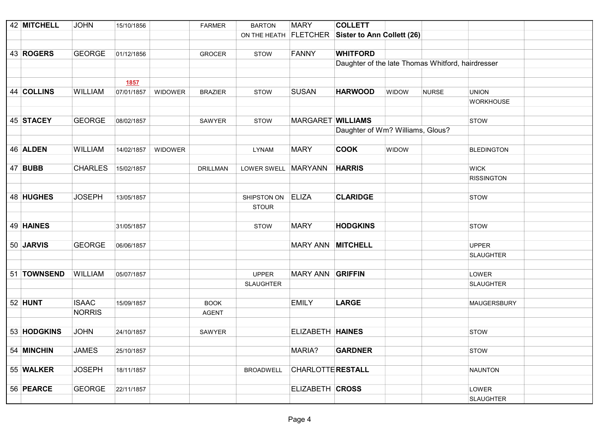| 42 MITCHELL    | <b>JOHN</b>    | 15/10/1856 |                | <b>FARMER</b>   | <b>BARTON</b>         | <b>MARY</b>              | <b>COLLETT</b>                                    |       |              |                    |
|----------------|----------------|------------|----------------|-----------------|-----------------------|--------------------------|---------------------------------------------------|-------|--------------|--------------------|
|                |                |            |                |                 | ON THE HEATH FLETCHER |                          | <b>Sister to Ann Collett (26)</b>                 |       |              |                    |
|                |                |            |                |                 |                       |                          |                                                   |       |              |                    |
| 43 ROGERS      | <b>GEORGE</b>  | 01/12/1856 |                | <b>GROCER</b>   | <b>STOW</b>           | <b>FANNY</b>             | <b>WHITFORD</b>                                   |       |              |                    |
|                |                |            |                |                 |                       |                          | Daughter of the late Thomas Whitford, hairdresser |       |              |                    |
|                |                |            |                |                 |                       |                          |                                                   |       |              |                    |
|                |                | 1857       |                |                 |                       |                          |                                                   |       |              |                    |
| 44 COLLINS     | <b>WILLIAM</b> | 07/01/1857 | <b>WIDOWER</b> | <b>BRAZIER</b>  | <b>STOW</b>           | <b>SUSAN</b>             | <b>HARWOOD</b>                                    | WIDOW | <b>NURSE</b> | <b>UNION</b>       |
|                |                |            |                |                 |                       |                          |                                                   |       |              | <b>WORKHOUSE</b>   |
|                |                |            |                |                 |                       |                          |                                                   |       |              |                    |
| 45 STACEY      | <b>GEORGE</b>  | 08/02/1857 |                | SAWYER          | <b>STOW</b>           | <b>MARGARET WILLIAMS</b> |                                                   |       |              | <b>STOW</b>        |
|                |                |            |                |                 |                       |                          | Daughter of Wm? Williams, Glous?                  |       |              |                    |
|                |                |            |                |                 |                       |                          |                                                   |       |              |                    |
| 46 ALDEN       | <b>WILLIAM</b> | 14/02/1857 | WIDOWER        |                 | <b>LYNAM</b>          | <b>MARY</b>              | <b>COOK</b>                                       | WIDOW |              | <b>BLEDINGTON</b>  |
|                |                |            |                |                 |                       |                          |                                                   |       |              |                    |
| 47 <b>BUBB</b> | <b>CHARLES</b> | 15/02/1857 |                | <b>DRILLMAN</b> | LOWER SWELL MARYANN   |                          | <b>HARRIS</b>                                     |       |              | <b>WICK</b>        |
|                |                |            |                |                 |                       |                          |                                                   |       |              | <b>RISSINGTON</b>  |
|                |                |            |                |                 |                       |                          |                                                   |       |              |                    |
| 48 HUGHES      | <b>JOSEPH</b>  | 13/05/1857 |                |                 | SHIPSTON ON           | <b>ELIZA</b>             | <b>CLARIDGE</b>                                   |       |              | <b>STOW</b>        |
|                |                |            |                |                 | <b>STOUR</b>          |                          |                                                   |       |              |                    |
|                |                |            |                |                 |                       |                          |                                                   |       |              |                    |
| 49 HAINES      |                | 31/05/1857 |                |                 | <b>STOW</b>           | <b>MARY</b>              | <b>HODGKINS</b>                                   |       |              | <b>STOW</b>        |
|                |                |            |                |                 |                       |                          |                                                   |       |              |                    |
| 50 JARVIS      | <b>GEORGE</b>  | 06/06/1857 |                |                 |                       | <b>MARY ANN</b>          | <b>MITCHELL</b>                                   |       |              | <b>UPPER</b>       |
|                |                |            |                |                 |                       |                          |                                                   |       |              | <b>SLAUGHTER</b>   |
|                |                |            |                |                 |                       |                          |                                                   |       |              |                    |
| 51 TOWNSEND    | <b>WILLIAM</b> | 05/07/1857 |                |                 | <b>UPPER</b>          | <b>MARY ANN GRIFFIN</b>  |                                                   |       |              | LOWER              |
|                |                |            |                |                 | <b>SLAUGHTER</b>      |                          |                                                   |       |              | <b>SLAUGHTER</b>   |
|                |                |            |                |                 |                       |                          |                                                   |       |              |                    |
| 52 HUNT        | <b>ISAAC</b>   | 15/09/1857 |                | <b>BOOK</b>     |                       | <b>EMILY</b>             | <b>LARGE</b>                                      |       |              | <b>MAUGERSBURY</b> |
|                | <b>NORRIS</b>  |            |                | <b>AGENT</b>    |                       |                          |                                                   |       |              |                    |
|                |                |            |                |                 |                       |                          |                                                   |       |              |                    |
| 53 HODGKINS    | <b>JOHN</b>    | 24/10/1857 |                | <b>SAWYER</b>   |                       | ELIZABETH HAINES         |                                                   |       |              | <b>STOW</b>        |
|                |                |            |                |                 |                       |                          |                                                   |       |              |                    |
| 54 MINCHIN     | <b>JAMES</b>   | 25/10/1857 |                |                 |                       | MARIA?                   | <b>GARDNER</b>                                    |       |              | <b>STOW</b>        |
|                |                |            |                |                 |                       |                          |                                                   |       |              |                    |
| 55 WALKER      | <b>JOSEPH</b>  | 18/11/1857 |                |                 | <b>BROADWELL</b>      | <b>CHARLOTTE RESTALL</b> |                                                   |       |              | <b>NAUNTON</b>     |
|                |                |            |                |                 |                       |                          |                                                   |       |              |                    |
| 56 PEARCE      | <b>GEORGE</b>  | 22/11/1857 |                |                 |                       | ELIZABETH CROSS          |                                                   |       |              | LOWER              |
|                |                |            |                |                 |                       |                          |                                                   |       |              | <b>SLAUGHTER</b>   |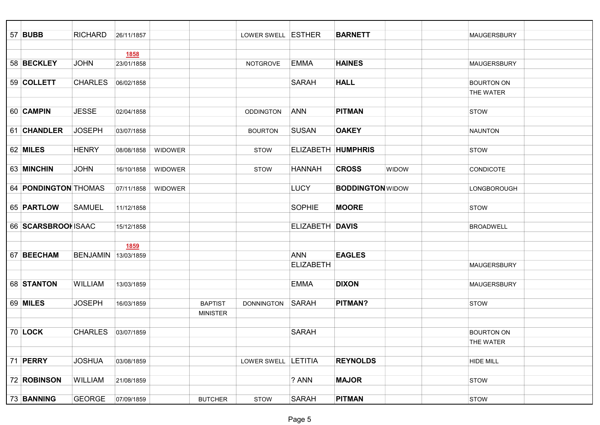| 57 <b>BUBB</b>              | <b>RICHARD</b>      | 26/11/1857  |                |                 | LOWER SWELL ESTHER  |                        | <b>BARNETT</b>          |              | <b>MAUGERSBURY</b> |  |
|-----------------------------|---------------------|-------------|----------------|-----------------|---------------------|------------------------|-------------------------|--------------|--------------------|--|
|                             |                     |             |                |                 |                     |                        |                         |              |                    |  |
|                             |                     | <u>1858</u> |                |                 |                     |                        |                         |              |                    |  |
| 58 BECKLEY                  | <b>JOHN</b>         | 23/01/1858  |                |                 | <b>NOTGROVE</b>     | EMMA                   | <b>HAINES</b>           |              | <b>MAUGERSBURY</b> |  |
|                             |                     |             |                |                 |                     |                        |                         |              |                    |  |
| 59 COLLETT                  | <b>CHARLES</b>      | 06/02/1858  |                |                 |                     | <b>SARAH</b>           | <b>HALL</b>             |              | <b>BOURTON ON</b>  |  |
|                             |                     |             |                |                 |                     |                        |                         |              | <b>THE WATER</b>   |  |
|                             |                     |             |                |                 |                     |                        |                         |              |                    |  |
| 60 CAMPIN                   | <b>JESSE</b>        | 02/04/1858  |                |                 | <b>ODDINGTON</b>    | ANN                    | <b>PITMAN</b>           |              | <b>STOW</b>        |  |
|                             |                     |             |                |                 |                     |                        |                         |              |                    |  |
| 61 CHANDLER                 | <b>JOSEPH</b>       | 03/07/1858  |                |                 | <b>BOURTON</b>      | <b>SUSAN</b>           | <b>OAKEY</b>            |              | <b>NAUNTON</b>     |  |
|                             |                     |             |                |                 |                     |                        |                         |              |                    |  |
| 62 MILES                    | <b>HENRY</b>        | 08/08/1858  | WIDOWER        |                 | <b>STOW</b>         | ELIZABETH HUMPHRIS     |                         |              | <b>STOW</b>        |  |
|                             |                     |             |                |                 |                     |                        |                         |              |                    |  |
| 63 MINCHIN                  | <b>JOHN</b>         | 16/10/1858  | <b>WIDOWER</b> |                 | <b>STOW</b>         | <b>HANNAH</b>          | <b>CROSS</b>            | <b>WIDOW</b> | <b>CONDICOTE</b>   |  |
|                             |                     |             |                |                 |                     |                        |                         |              |                    |  |
| 64 <b>PONDINGTON</b> THOMAS |                     | 07/11/1858  | <b>WIDOWER</b> |                 |                     | <b>LUCY</b>            | <b>BODDINGTON</b> WIDOW |              | LONGBOROUGH        |  |
|                             |                     |             |                |                 |                     |                        |                         |              |                    |  |
| 65 <b>PARTLOW</b>           | <b>SAMUEL</b>       | 11/12/1858  |                |                 |                     | <b>SOPHIE</b>          | <b>MOORE</b>            |              | <b>STOW</b>        |  |
|                             |                     |             |                |                 |                     |                        |                         |              |                    |  |
| 66 SCARSBROOM ISAAC         |                     | 15/12/1858  |                |                 |                     | <b>ELIZABETH DAVIS</b> |                         |              | <b>BROADWELL</b>   |  |
|                             |                     |             |                |                 |                     |                        |                         |              |                    |  |
|                             |                     | <u>1859</u> |                |                 |                     |                        |                         |              |                    |  |
| 67 BEECHAM                  | BENJAMIN 13/03/1859 |             |                |                 |                     | <b>ANN</b>             | <b>EAGLES</b>           |              |                    |  |
|                             |                     |             |                |                 |                     | <b>ELIZABETH</b>       |                         |              | <b>MAUGERSBURY</b> |  |
|                             |                     |             |                |                 |                     |                        |                         |              |                    |  |
| 68 STANTON                  | <b>WILLIAM</b>      | 13/03/1859  |                |                 |                     | <b>EMMA</b>            | <b>DIXON</b>            |              | <b>MAUGERSBURY</b> |  |
|                             |                     |             |                |                 |                     |                        |                         |              |                    |  |
| 69 MILES                    | <b>JOSEPH</b>       | 16/03/1859  |                | <b>BAPTIST</b>  | <b>DONNINGTON</b>   | SARAH                  | <b>PITMAN?</b>          |              | <b>STOW</b>        |  |
|                             |                     |             |                | <b>MINISTER</b> |                     |                        |                         |              |                    |  |
|                             |                     |             |                |                 |                     |                        |                         |              |                    |  |
| $70$ LOCK                   | <b>CHARLES</b>      | 03/07/1859  |                |                 |                     | <b>SARAH</b>           |                         |              | <b>BOURTON ON</b>  |  |
|                             |                     |             |                |                 |                     |                        |                         |              | <b>THE WATER</b>   |  |
|                             |                     |             |                |                 |                     |                        |                         |              |                    |  |
| 71 PERRY                    | <b>JOSHUA</b>       | 03/08/1859  |                |                 | LOWER SWELL LETITIA |                        | <b>REYNOLDS</b>         |              | <b>HIDE MILL</b>   |  |
|                             |                     |             |                |                 |                     |                        |                         |              |                    |  |
| 72 ROBINSON                 | WILLIAM             | 21/08/1859  |                |                 |                     | ? ANN                  | <b>MAJOR</b>            |              | <b>STOW</b>        |  |
|                             |                     |             |                |                 |                     |                        |                         |              |                    |  |
| 73 BANNING                  | <b>GEORGE</b>       | 07/09/1859  |                | <b>BUTCHER</b>  | <b>STOW</b>         | <b>SARAH</b>           | <b>PITMAN</b>           |              | <b>STOW</b>        |  |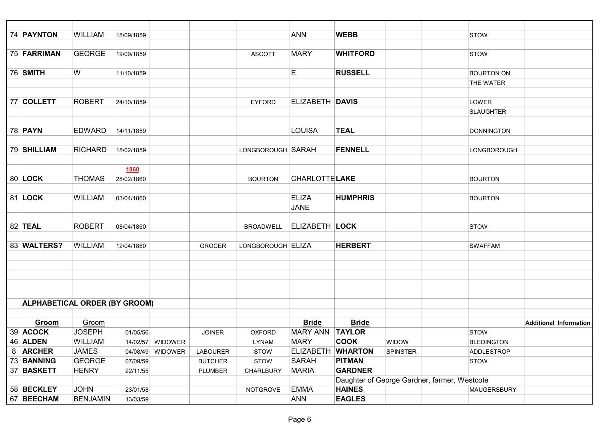| 74 PAYNTON                           | <b>WILLIAM</b>  | 18/09/1859 |                  |                 |                   | <b>ANN</b>             | <b>WEBB</b>     |                                              | <b>STOW</b>       |                               |
|--------------------------------------|-----------------|------------|------------------|-----------------|-------------------|------------------------|-----------------|----------------------------------------------|-------------------|-------------------------------|
|                                      |                 |            |                  |                 |                   |                        |                 |                                              |                   |                               |
| 75 FARRIMAN                          | <b>GEORGE</b>   | 19/09/1859 |                  |                 | <b>ASCOTT</b>     | <b>MARY</b>            | <b>WHITFORD</b> |                                              | <b>STOW</b>       |                               |
|                                      |                 |            |                  |                 |                   |                        |                 |                                              |                   |                               |
| 76 SMITH                             | W               | 11/10/1859 |                  |                 |                   | Е                      | <b>RUSSELL</b>  |                                              | <b>BOURTON ON</b> |                               |
|                                      |                 |            |                  |                 |                   |                        |                 |                                              | THE WATER         |                               |
|                                      |                 |            |                  |                 |                   |                        |                 |                                              |                   |                               |
| 77 COLLETT                           | <b>ROBERT</b>   | 24/10/1859 |                  |                 | <b>EYFORD</b>     | <b>ELIZABETH DAVIS</b> |                 |                                              | LOWER             |                               |
|                                      |                 |            |                  |                 |                   |                        |                 |                                              | <b>SLAUGHTER</b>  |                               |
|                                      |                 |            |                  |                 |                   |                        |                 |                                              |                   |                               |
| 78 <b>PAYN</b>                       | <b>EDWARD</b>   | 14/11/1859 |                  |                 |                   | <b>LOUISA</b>          | <b>TEAL</b>     |                                              | <b>DONNINGTON</b> |                               |
|                                      |                 |            |                  |                 |                   |                        |                 |                                              |                   |                               |
| 79 SHILLIAM                          | <b>RICHARD</b>  | 18/02/1859 |                  |                 | LONGBOROUGH SARAH |                        | <b>FENNELL</b>  |                                              | LONGBOROUGH       |                               |
|                                      |                 |            |                  |                 |                   |                        |                 |                                              |                   |                               |
|                                      |                 | 1860       |                  |                 |                   |                        |                 |                                              |                   |                               |
| 80 LOCK                              | <b>THOMAS</b>   | 28/02/1860 |                  |                 | <b>BOURTON</b>    | <b>CHARLOTTE LAKE</b>  |                 |                                              | <b>BOURTON</b>    |                               |
|                                      |                 |            |                  |                 |                   |                        |                 |                                              |                   |                               |
| 81 LOCK                              | <b>WILLIAM</b>  | 03/04/1860 |                  |                 |                   | <b>ELIZA</b>           | <b>HUMPHRIS</b> |                                              | <b>BOURTON</b>    |                               |
|                                      |                 |            |                  |                 |                   | <b>JANE</b>            |                 |                                              |                   |                               |
|                                      |                 |            |                  |                 |                   |                        |                 |                                              |                   |                               |
| 82 <b>TEAL</b>                       | <b>ROBERT</b>   | 08/04/1860 |                  |                 | <b>BROADWELL</b>  | <b>ELIZABETH LOCK</b>  |                 |                                              | <b>STOW</b>       |                               |
|                                      |                 |            |                  |                 |                   |                        |                 |                                              |                   |                               |
| 83 WALTERS?                          | <b>WILLIAM</b>  | 12/04/1860 |                  | <b>GROCER</b>   | LONGBOROUGH ELIZA |                        | <b>HERBERT</b>  |                                              | <b>SWAFFAM</b>    |                               |
|                                      |                 |            |                  |                 |                   |                        |                 |                                              |                   |                               |
|                                      |                 |            |                  |                 |                   |                        |                 |                                              |                   |                               |
|                                      |                 |            |                  |                 |                   |                        |                 |                                              |                   |                               |
|                                      |                 |            |                  |                 |                   |                        |                 |                                              |                   |                               |
| <b>ALPHABETICAL ORDER (BY GROOM)</b> |                 |            |                  |                 |                   |                        |                 |                                              |                   |                               |
|                                      |                 |            |                  |                 |                   |                        |                 |                                              |                   |                               |
| Groom                                | Groom           |            |                  |                 |                   | <b>Bride</b>           | <b>Bride</b>    |                                              |                   | <b>Additional Information</b> |
| 39 ACOCK                             | <b>JOSEPH</b>   | 01/05/56   |                  | <b>JOINER</b>   | <b>OXFORD</b>     | <b>MARY ANN TAYLOR</b> |                 |                                              | <b>STOW</b>       |                               |
| 46 ALDEN                             | <b>WILLIAM</b>  |            | 14/02/57 WIDOWER |                 | <b>LYNAM</b>      | <b>MARY</b>            | <b>COOK</b>     | <b>WIDOW</b>                                 | <b>BLEDINGTON</b> |                               |
| 8 ARCHER                             | <b>JAMES</b>    | 04/08/49   | WIDOWER          | <b>LABOURER</b> | <b>STOW</b>       | <b>ELIZABETH</b>       | <b>WHARTON</b>  | <b>SPINSTER</b>                              | ADDLESTROP        |                               |
| 73 BANNING                           | <b>GEORGE</b>   | 07/09/59   |                  | <b>BUTCHER</b>  | <b>STOW</b>       | <b>SARAH</b>           | <b>PITMAN</b>   |                                              | <b>STOW</b>       |                               |
| 37 BASKETT                           | <b>HENRY</b>    | 22/11/55   |                  | PLUMBER         | CHARLBURY         | <b>MARIA</b>           | <b>GARDNER</b>  |                                              |                   |                               |
|                                      |                 |            |                  |                 |                   |                        |                 | Daughter of George Gardner, farmer, Westcote |                   |                               |
| 58 BECKLEY                           | <b>JOHN</b>     | 23/01/58   |                  |                 | <b>NOTGROVE</b>   | <b>EMMA</b>            | <b>HAINES</b>   |                                              | MAUGERSBURY       |                               |
| 67 BEECHAM                           | <b>BENJAMIN</b> | 13/03/59   |                  |                 |                   | ANN                    | <b>EAGLES</b>   |                                              |                   |                               |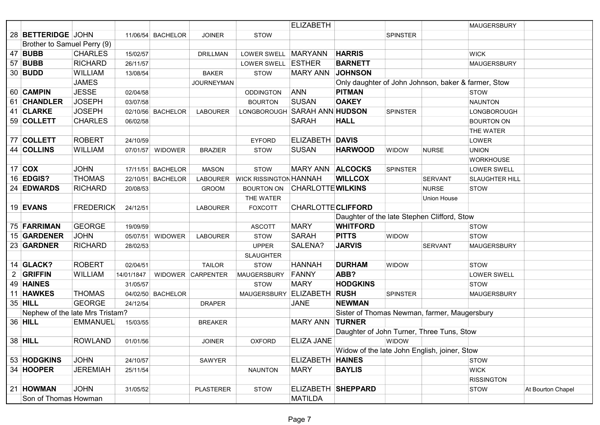|    |                                 |                  |            |                   |                   |                                             | <b>ELIZABETH</b>          |                                                     |                 |                    | <b>MAUGERSBURY</b> |                   |
|----|---------------------------------|------------------|------------|-------------------|-------------------|---------------------------------------------|---------------------------|-----------------------------------------------------|-----------------|--------------------|--------------------|-------------------|
|    | 28 BETTERIDGE JOHN              |                  |            | 11/06/54 BACHELOR | <b>JOINER</b>     | <b>STOW</b>                                 |                           |                                                     | <b>SPINSTER</b> |                    |                    |                   |
|    | Brother to Samuel Perry (9)     |                  |            |                   |                   |                                             |                           |                                                     |                 |                    |                    |                   |
|    | 47 BUBB                         | <b>CHARLES</b>   | 15/02/57   |                   | <b>DRILLMAN</b>   | LOWER SWELL   MARYANN                       |                           | <b>HARRIS</b>                                       |                 |                    | <b>WICK</b>        |                   |
| 57 | <b>BUBB</b>                     | <b>RICHARD</b>   | 26/11/57   |                   |                   | LOWER SWELL ESTHER                          |                           | <b>BARNETT</b>                                      |                 |                    | <b>MAUGERSBURY</b> |                   |
|    | 30 <b>BUDD</b>                  | <b>WILLIAM</b>   | 13/08/54   |                   | <b>BAKER</b>      | <b>STOW</b>                                 | <b>MARY ANN</b>           | <b>JOHNSON</b>                                      |                 |                    |                    |                   |
|    |                                 | <b>JAMES</b>     |            |                   | <b>JOURNEYMAN</b> |                                             |                           | Only daughter of John Johnson, baker & farmer, Stow |                 |                    |                    |                   |
|    | 60 CAMPIN                       | <b>JESSE</b>     | 02/04/58   |                   |                   | <b>ODDINGTON</b>                            | <b>ANN</b>                | <b>PITMAN</b>                                       |                 |                    | <b>STOW</b>        |                   |
|    | 61 CHANDLER                     | <b>JOSEPH</b>    | 03/07/58   |                   |                   | <b>BOURTON</b>                              | <b>SUSAN</b>              | <b>OAKEY</b>                                        |                 |                    | <b>NAUNTON</b>     |                   |
|    | 41 CLARKE                       | <b>JOSEPH</b>    |            | 02/10/56 BACHELOR | <b>LABOURER</b>   | LONGBOROUGH SARAH ANN HUDSON                |                           |                                                     | <b>SPINSTER</b> |                    | LONGBOROUGH        |                   |
|    | 59 COLLETT                      | <b>CHARLES</b>   | 06/02/58   |                   |                   |                                             | <b>SARAH</b>              | <b>HALL</b>                                         |                 |                    | <b>BOURTON ON</b>  |                   |
|    |                                 |                  |            |                   |                   |                                             |                           |                                                     |                 |                    | <b>THE WATER</b>   |                   |
|    | 77 COLLETT                      | <b>ROBERT</b>    | 24/10/59   |                   |                   | <b>EYFORD</b>                               | ELIZABETH DAVIS           |                                                     |                 |                    | LOWER              |                   |
|    | 44 COLLINS                      | <b>WILLIAM</b>   |            | 07/01/57 WIDOWER  | <b>BRAZIER</b>    | <b>STOW</b>                                 | <b>SUSAN</b>              | <b>HARWOOD</b>                                      | <b>WIDOW</b>    | <b>NURSE</b>       | <b>UNION</b>       |                   |
|    |                                 |                  |            |                   |                   |                                             |                           |                                                     |                 |                    | <b>WORKHOUSE</b>   |                   |
|    | $17$ COX                        | <b>JOHN</b>      |            | 17/11/51 BACHELOR | <b>MASON</b>      | <b>STOW</b>                                 | <b>MARY ANN</b>           | <b>ALCOCKS</b>                                      | <b>SPINSTER</b> |                    | LOWER SWELL        |                   |
|    | 16 <b>EDGIS?</b>                | <b>THOMAS</b>    |            | 22/10/51 BACHELOR | <b>LABOURER</b>   | <b>WICK RISSINGTON HANNAH</b>               |                           | <b>WILLCOX</b>                                      |                 | <b>SERVANT</b>     | SLAUGHTER HILL     |                   |
|    | 24 EDWARDS                      | <b>RICHARD</b>   | 20/08/53   |                   | <b>GROOM</b>      | <b>BOURTON ON</b>                           | <b>CHARLOTTE WILKINS</b>  |                                                     |                 | <b>NURSE</b>       | <b>STOW</b>        |                   |
|    |                                 |                  |            |                   |                   | THE WATER                                   |                           |                                                     |                 | <b>Union House</b> |                    |                   |
|    | 19 EVANS                        | <b>FREDERICK</b> | 24/12/51   |                   | <b>LABOURER</b>   | <b>FOXCOTT</b>                              | <b>CHARLOTTE CLIFFORD</b> |                                                     |                 |                    |                    |                   |
|    |                                 |                  |            |                   |                   | Daughter of the late Stephen Clifford, Stow |                           |                                                     |                 |                    |                    |                   |
|    | 75 FARRIMAN                     | <b>GEORGE</b>    | 19/09/59   |                   |                   | <b>ASCOTT</b>                               | <b>MARY</b>               | <b>WHITFORD</b>                                     |                 |                    | <b>STOW</b>        |                   |
|    | 15 GARDENER                     | <b>JOHN</b>      | 05/07/51   | <b>WIDOWER</b>    | <b>LABOURER</b>   | <b>STOW</b>                                 | <b>SARAH</b>              | <b>PITTS</b>                                        | WIDOW           |                    | <b>STOW</b>        |                   |
|    | 23 GARDNER                      | <b>RICHARD</b>   | 28/02/53   |                   |                   | <b>UPPER</b>                                | SALENA?                   | <b>JARVIS</b>                                       |                 | <b>SERVANT</b>     | <b>MAUGERSBURY</b> |                   |
|    |                                 |                  |            |                   |                   | <b>SLAUGHTER</b>                            |                           |                                                     |                 |                    |                    |                   |
|    | 14 GLACK?                       | <b>ROBERT</b>    | 02/04/51   |                   | <b>TAILOR</b>     | <b>STOW</b>                                 | <b>HANNAH</b>             | <b>DURHAM</b>                                       | <b>WIDOW</b>    |                    | <b>STOW</b>        |                   |
|    | 2 GRIFFIN                       | <b>WILLIAM</b>   | 14/01/1847 |                   | WIDOWER CARPENTER | <b>MAUGERSBURY</b>                          | FANNY                     | ABB?                                                |                 |                    | LOWER SWELL        |                   |
|    | 49 HAINES                       |                  | 31/05/57   |                   |                   | <b>STOW</b>                                 | <b>MARY</b>               | <b>HODGKINS</b>                                     |                 |                    | <b>STOW</b>        |                   |
|    | 11 HAWKES                       | <b>THOMAS</b>    |            | 04/02/50 BACHELOR |                   | <b>MAUGERSBURY</b>                          | <b>ELIZABETH</b>          | <b>RUSH</b>                                         | <b>SPINSTER</b> |                    | <b>MAUGERSBURY</b> |                   |
|    | 35 HILL                         | <b>GEORGE</b>    | 24/12/54   |                   | <b>DRAPER</b>     |                                             | <b>JANE</b>               | <b>NEWMAN</b>                                       |                 |                    |                    |                   |
|    | Nephew of the late Mrs Tristam? |                  |            |                   |                   |                                             |                           | Sister of Thomas Newman, farmer, Maugersbury        |                 |                    |                    |                   |
|    | 36 HILL                         | <b>EMMANUEL</b>  | 15/03/55   |                   | <b>BREAKER</b>    |                                             | <b>MARY ANN</b>           | <b>TURNER</b>                                       |                 |                    |                    |                   |
|    |                                 |                  |            |                   |                   |                                             |                           | Daughter of John Turner, Three Tuns, Stow           |                 |                    |                    |                   |
|    | 38 HILL                         | <b>ROWLAND</b>   | 01/01/56   |                   | <b>JOINER</b>     | <b>OXFORD</b>                               | ELIZA JANE                |                                                     | WIDOW           |                    |                    |                   |
|    |                                 |                  |            |                   |                   |                                             |                           | Widow of the late John English, joiner, Stow        |                 |                    |                    |                   |
|    | 53 HODGKINS                     | <b>JOHN</b>      | 24/10/57   |                   | SAWYER            |                                             | ELIZABETH HAINES          |                                                     |                 |                    | <b>STOW</b>        |                   |
|    | 34 HOOPER                       | <b>JEREMIAH</b>  | 25/11/54   |                   |                   | <b>NAUNTON</b>                              | <b>MARY</b>               | <b>BAYLIS</b>                                       |                 |                    | <b>WICK</b>        |                   |
|    |                                 |                  |            |                   |                   |                                             |                           |                                                     |                 |                    | <b>RISSINGTON</b>  |                   |
|    | 21 HOWMAN                       | <b>JOHN</b>      | 31/05/52   |                   | <b>PLASTERER</b>  | <b>STOW</b>                                 | ELIZABETH SHEPPARD        |                                                     |                 |                    | <b>STOW</b>        | At Bourton Chapel |
|    | Son of Thomas Howman            |                  |            |                   |                   |                                             | <b>MATILDA</b>            |                                                     |                 |                    |                    |                   |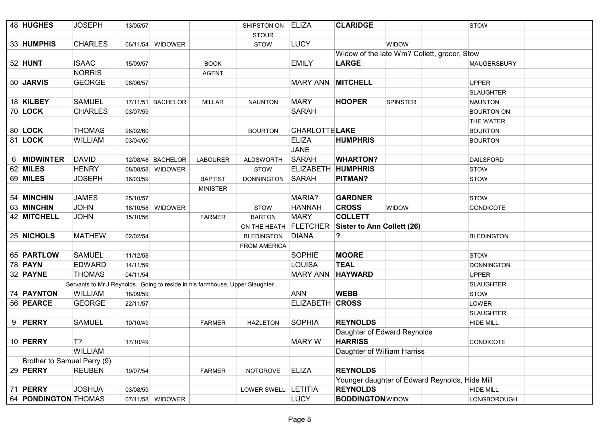|   | 48 HUGHES                   | <b>JOSEPH</b>                                                                | 13/05/57 |                   |                 | SHIPSTON ON           | ELIZA                 | <b>CLARIDGE</b>                   |                                                | <b>STOW</b>        |
|---|-----------------------------|------------------------------------------------------------------------------|----------|-------------------|-----------------|-----------------------|-----------------------|-----------------------------------|------------------------------------------------|--------------------|
|   |                             |                                                                              |          |                   |                 | <b>STOUR</b>          |                       |                                   |                                                |                    |
|   | 33 HUMPHIS                  | <b>CHARLES</b>                                                               |          | 06/11/54 WIDOWER  |                 | <b>STOW</b>           | <b>LUCY</b>           |                                   | WIDOW                                          |                    |
|   |                             |                                                                              |          |                   |                 |                       |                       |                                   | Widow of the late Wm? Collett, grocer, Stow    |                    |
|   | 52 HUNT                     | <b>ISAAC</b>                                                                 | 15/09/57 |                   | <b>BOOK</b>     |                       | <b>EMILY</b>          | <b>LARGE</b>                      |                                                | <b>MAUGERSBURY</b> |
|   |                             | <b>NORRIS</b>                                                                |          |                   | <b>AGENT</b>    |                       |                       |                                   |                                                |                    |
|   | 50 JARVIS                   | <b>GEORGE</b>                                                                | 06/06/57 |                   |                 |                       | <b>MARY ANN</b>       | <b>MITCHELL</b>                   |                                                | <b>UPPER</b>       |
|   |                             |                                                                              |          |                   |                 |                       |                       |                                   |                                                | <b>SLAUGHTER</b>   |
|   | 18 KILBEY                   | <b>SAMUEL</b>                                                                |          | 17/11/51 BACHELOR | <b>MILLAR</b>   | <b>NAUNTON</b>        | <b>MARY</b>           | <b>HOOPER</b>                     | <b>SPINSTER</b>                                | <b>NAUNTON</b>     |
|   | 70 LOCK                     | <b>CHARLES</b>                                                               | 03/07/59 |                   |                 |                       | <b>SARAH</b>          |                                   |                                                | <b>BOURTON ON</b>  |
|   |                             |                                                                              |          |                   |                 |                       |                       |                                   |                                                | THE WATER          |
|   | 80 LOCK                     | <b>THOMAS</b>                                                                | 28/02/60 |                   |                 | <b>BOURTON</b>        | <b>CHARLOTTE LAKE</b> |                                   |                                                | <b>BOURTON</b>     |
|   | 81 LOCK                     | <b>WILLIAM</b>                                                               | 03/04/60 |                   |                 |                       | <b>ELIZA</b>          | <b>HUMPHRIS</b>                   |                                                | <b>BOURTON</b>     |
|   |                             |                                                                              |          |                   |                 |                       | <b>JANE</b>           |                                   |                                                |                    |
| 6 | <b>MIDWINTER</b>            | <b>DAVID</b>                                                                 |          | 12/08/48 BACHELOR | <b>LABOURER</b> | <b>ALDSWORTH</b>      | SARAH                 | <b>WHARTON?</b>                   |                                                | <b>DAILSFORD</b>   |
|   | 62 MILES                    | <b>HENRY</b>                                                                 | 08/08/58 | <b>WIDOWER</b>    |                 | <b>STOW</b>           |                       | ELIZABETH HUMPHRIS                |                                                | <b>STOW</b>        |
|   | 69 MILES                    | <b>JOSEPH</b>                                                                | 16/03/59 |                   | <b>BAPTIST</b>  | <b>DONNINGTON</b>     | SARAH                 | PITMAN?                           |                                                | <b>STOW</b>        |
|   |                             |                                                                              |          |                   | <b>MINISTER</b> |                       |                       |                                   |                                                |                    |
|   | 54 MINCHIN                  | <b>JAMES</b>                                                                 | 25/10/57 |                   |                 |                       | MARIA?                | <b>GARDNER</b>                    |                                                | <b>STOW</b>        |
|   | 63 MINCHIN                  | <b>JOHN</b>                                                                  | 16/10/58 | <b>WIDOWER</b>    |                 | <b>STOW</b>           | <b>HANNAH</b>         | <b>CROSS</b>                      | WIDOW                                          | <b>CONDICOTE</b>   |
|   | 42 MITCHELL                 | <b>JOHN</b>                                                                  | 15/10/56 |                   | <b>FARMER</b>   | <b>BARTON</b>         | <b>MARY</b>           | <b>COLLETT</b>                    |                                                |                    |
|   |                             |                                                                              |          |                   |                 | ON THE HEATH FLETCHER |                       | <b>Sister to Ann Collett (26)</b> |                                                |                    |
|   | 25 NICHOLS                  | <b>MATHEW</b>                                                                | 02/02/54 |                   |                 | <b>BLEDINGTON</b>     | <b>DIANA</b>          | ?                                 |                                                | <b>BLEDINGTON</b>  |
|   |                             |                                                                              |          |                   |                 | <b>FROM AMERICA</b>   |                       |                                   |                                                |                    |
|   | 65 PARTLOW                  | <b>SAMUEL</b>                                                                | 11/12/58 |                   |                 |                       | <b>SOPHIE</b>         | <b>MOORE</b>                      |                                                | <b>STOW</b>        |
|   | 78 <b>PAYN</b>              | <b>EDWARD</b>                                                                | 14/11/59 |                   |                 |                       | <b>LOUISA</b>         | <b>TEAL</b>                       |                                                | <b>DONNINGTON</b>  |
|   | 32 PAYNE                    | <b>THOMAS</b>                                                                | 04/11/54 |                   |                 |                       | <b>MARY ANN</b>       | <b>HAYWARD</b>                    |                                                | <b>UPPER</b>       |
|   |                             | Servants to Mr J Reynolds. Going to reside in his farmhouse, Upper Slaughter |          |                   |                 |                       |                       |                                   |                                                | <b>SLAUGHTER</b>   |
|   | 74 PAYNTON                  | <b>WILLIAM</b>                                                               | 18/09/59 |                   |                 |                       | ANN                   | <b>WEBB</b>                       |                                                | <b>STOW</b>        |
|   | 56 PEARCE                   | <b>GEORGE</b>                                                                | 22/11/57 |                   |                 |                       | ELIZABETH CROSS       |                                   |                                                | LOWER              |
|   |                             |                                                                              |          |                   |                 |                       |                       |                                   |                                                | <b>SLAUGHTER</b>   |
|   | 9 PERRY                     | <b>SAMUEL</b>                                                                | 10/10/49 |                   | <b>FARMER</b>   | <b>HAZLETON</b>       | SOPHIA                | <b>REYNOLDS</b>                   |                                                | <b>HIDE MILL</b>   |
|   |                             |                                                                              |          |                   |                 |                       |                       |                                   | Daughter of Edward Reynolds                    |                    |
|   | 10 PERRY                    | T?                                                                           | 17/10/49 |                   |                 |                       | <b>MARY W</b>         | <b>HARRISS</b>                    |                                                | <b>CONDICOTE</b>   |
|   |                             | <b>WILLIAM</b>                                                               |          |                   |                 |                       |                       | Daughter of William Harriss       |                                                |                    |
|   | Brother to Samuel Perry (9) |                                                                              |          |                   |                 |                       |                       |                                   |                                                |                    |
|   | 29 PERRY                    | <b>REUBEN</b>                                                                | 19/07/54 |                   | <b>FARMER</b>   | <b>NOTGROVE</b>       | <b>ELIZA</b>          | <b>REYNOLDS</b>                   |                                                |                    |
|   |                             |                                                                              |          |                   |                 |                       |                       |                                   | Younger daughter of Edward Reynolds, Hide Mill |                    |
|   | 71 PERRY                    | <b>JOSHUA</b>                                                                | 03/08/59 |                   |                 | LOWER SWELL           | LETITIA               | <b>REYNOLDS</b>                   |                                                | <b>HIDE MILL</b>   |
|   | 64 PONDINGTON THOMAS        |                                                                              |          | 07/11/58 WIDOWER  |                 |                       | <b>LUCY</b>           | <b>BODDINGTON</b> WIDOW           |                                                | LONGBOROUGH        |